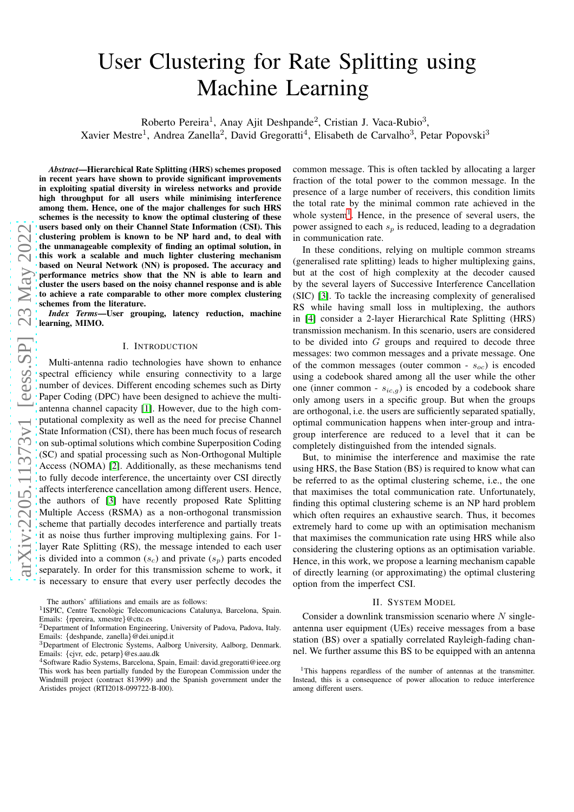# User Clustering for Rate Splitting using Machine Learning

Roberto Pereira<sup>1</sup>, Anay Ajit Deshpande<sup>2</sup>, Cristian J. Vaca-Rubio<sup>3</sup>,

Xavier Mestre<sup>1</sup>, Andrea Zanella<sup>2</sup>, David Gregoratti<sup>4</sup>, Elisabeth de Carvalho<sup>3</sup>, Petar Popovski<sup>3</sup>

*Abstract*—Hierarchical Rate Splitting (HRS) schemes proposed in recent years have shown to provide significant improvements in exploiting spatial diversity in wireless networks and provide high throughput for all users while minimising interference among them. Hence, one of the major challenges for such HRS schemes is the necessity to know the optimal clustering of these users based only on their Channel State Information (CSI). This clustering problem is known to be NP hard and, to deal with the unmanageable complexity of finding an optimal solution, in this work a scalable and much lighter clustering mechanism based on Neural Network (NN) is proposed. The accuracy and performance metrics show that the NN is able to learn and cluster the users based on the noisy channel response and is able to achieve a rate comparable to other more complex clustering schemes from the literature.

*Index Terms*—User grouping, latency reduction, machine learning, MIMO.

## I. INTRODUCTION

Multi-antenna radio technologies have shown to enhance spectral efficiency while ensuring connectivity to a large number of devices. Different encoding schemes such as Dirty Paper Coding (DPC) have been designed to achieve the multiantenna channel capacity [\[1\]](#page-4-0). However, due to the high computational complexity as well as the need for precise Channel State Information (CSI), there has been much focus of research on sub-optimal solutions which combine Superposition Coding (SC) and spatial processing such as Non-Orthogonal Multiple Access (NOMA) [\[2\]](#page-4-1). Additionally, as these mechanisms tend to fully decode interference, the uncertainty over CSI directly affects interference cancellation among different users. Hence, the authors of [\[3\]](#page-4-2) have recently proposed Rate Splitting Multiple Access (RSMA) as a non-orthogonal transmission scheme that partially decodes interference and partially treats it as noise thus further improving multiplexing gains. For 1 layer Rate Splitting (RS), the message intended to each user is divided into a common  $(s_c)$  and private  $(s_p)$  parts encoded separately. In order for this transmission scheme to work, it is necessary to ensure that every user perfectly decodes the

common message. This is often tackled by allocating a larger fraction of the total power to the common message. In the presence of a large number of receivers, this condition limits the total rate by the minimal common rate achieved in the whole system<sup>[1](#page-0-0)</sup>. Hence, in the presence of several users, the power assigned to each  $s_p$  is reduced, leading to a degradation in communication rate.

In these conditions, relying on multiple common streams (generalised rate splitting) leads to higher multiplexing gains, but at the cost of high complexity at the decoder caused by the several layers of Successive Interference Cancellation (SIC) [\[3\]](#page-4-2). To tackle the increasing complexity of generalised RS while having small loss in multiplexing, the authors in [\[4\]](#page-4-3) consider a 2-layer Hierarchical Rate Splitting (HRS) transmission mechanism. In this scenario, users are considered to be divided into  $G$  groups and required to decode three messages: two common messages and a private message. One of the common messages (outer common -  $s_{oc}$ ) is encoded using a codebook shared among all the user while the other one (inner common -  $s_{ic,q}$ ) is encoded by a codebook share only among users in a specific group. But when the groups are orthogonal, i.e. the users are sufficiently separated spatially, optimal communication happens when inter-group and intragroup interference are reduced to a level that it can be completely distinguished from the intended signals.

But, to minimise the interference and maximise the rate using HRS, the Base Station (BS) is required to know what can be referred to as the optimal clustering scheme, i.e., the one that maximises the total communication rate. Unfortunately, finding this optimal clustering scheme is an NP hard problem which often requires an exhaustive search. Thus, it becomes extremely hard to come up with an optimisation mechanism that maximises the communication rate using HRS while also considering the clustering options as an optimisation variable. Hence, in this work, we propose a learning mechanism capable of directly learning (or approximating) the optimal clustering option from the imperfect CSI.

## II. SYSTEM MODEL

Consider a downlink transmission scenario where  $N$  singleantenna user equipment (UEs) receive messages from a base station (BS) over a spatially correlated Rayleigh-fading channel. We further assume this BS to be equipped with an antenna

The authors' affiliations and emails are as follows:

<sup>&</sup>lt;sup>1</sup>ISPIC, Centre Tecnològic Telecomunicacions Catalunya, Barcelona, Spain. Emails: {rpereira, xmestre}@cttc.es

<sup>&</sup>lt;sup>2</sup>Department of Information Engineering, University of Padova, Padova, Italy. Emails: {deshpande, zanella}@dei.unipd.it

<sup>3</sup>Department of Electronic Systems, Aalborg University, Aalborg, Denmark. Emails: {cjvr, edc, petarp}@es.aau.dk

<sup>&</sup>lt;sup>4</sup>Software Radio Systems, Barcelona, Spain, Email: david.gregoratti@ieee.org This work has been partially funded by the European Commission under the Windmill project (contract 813999) and the Spanish government under the Aristides project (RTI2018-099722-B-I00).

<span id="page-0-0"></span><sup>&</sup>lt;sup>1</sup>This happens regardless of the number of antennas at the transmitter. Instead, this is a consequence of power allocation to reduce interference among different users.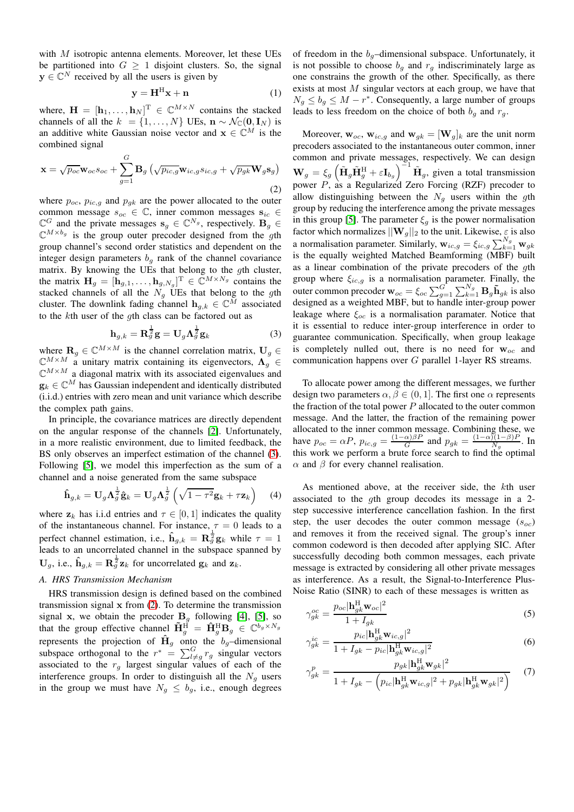with M isotropic antenna elements. Moreover, let these UEs be partitioned into  $G \geq 1$  disjoint clusters. So, the signal  $y \in \mathbb{C}^N$  received by all the users is given by

$$
y = H^H x + n \tag{1}
$$

where,  $\mathbf{H} = [\mathbf{h}_1, \dots, \mathbf{h}_N]^{\mathrm{T}} \in \mathbb{C}^{M \times N}$  contains the stacked channels of all the  $k = \{1, ..., N\}$  UEs,  $\mathbf{n} \sim \mathcal{N}_{\mathbb{C}}(\mathbf{0}, \mathbf{I}_N)$  is an additive white Gaussian noise vector and  $x \in \mathbb{C}^M$  is the combined signal

<span id="page-1-1"></span>
$$
\mathbf{x} = \sqrt{p_{oc}} \mathbf{w}_{oc} s_{oc} + \sum_{g=1}^{G} \mathbf{B}_g \left( \sqrt{p_{ic,g}} \mathbf{w}_{ic,g} s_{ic,g} + \sqrt{p_{gk}} \mathbf{W}_g \mathbf{s}_g \right)
$$
\n(2)

where  $p_{oc}$ ,  $p_{ic,g}$  and  $p_{gk}$  are the power allocated to the outer common message  $s_{oc} \in \mathbb{C}$ , inner common messages  $s_{ic} \in$  $\mathbb{C}^G$  and the private messages  $\mathbf{s}_g \in \mathbb{C}^{N_g}$ , respectively.  $\mathbf{B}_g \in \mathbb{C}^{N_g}$  $\mathbb{C}^{M \times b_g}$  is the group outer precoder designed from the gth group channel's second order statistics and dependent on the integer design parameters  $b<sub>q</sub>$  rank of the channel covariance matrix. By knowing the UEs that belong to the gth cluster, the matrix  $\mathbf{H}_g = [\mathbf{h}_{g,1}, \dots, \mathbf{h}_{g,N_g}]^{\mathrm{T}} \in \mathbb{C}^{M \times N_g}$  contains the stacked channels of all the  $N_g$  UEs that belong to the gth cluster. The downlink fading channel  $\mathbf{h}_{q,k} \in \mathbb{C}^{\tilde{M}}$  associated to the kth user of the gth class can be factored out as

<span id="page-1-0"></span>
$$
\mathbf{h}_{g,k} = \mathbf{R}_g^{\frac{1}{2}} \mathbf{g} = \mathbf{U}_g \mathbf{\Lambda}_g^{\frac{1}{2}} \mathbf{g}_k
$$
 (3)

where  $\mathbf{R}_g \in \mathbb{C}^{M \times M}$  is the channel correlation matrix,  $\mathbf{U}_g \in$  $\mathbb{C}^{M \times M}$  a unitary matrix containing its eigenvectors,  $\Lambda_a^{\sigma} \in$  $\mathbb{C}^{M \times M}$  a diagonal matrix with its associated eigenvalues and  $\mathbf{g}_k \in \mathbb{C}^M$  has Gaussian independent and identically distributed (i.i.d.) entries with zero mean and unit variance which describe the complex path gains.

In principle, the covariance matrices are directly dependent on the angular response of the channels [\[2\]](#page-4-1). Unfortunately, in a more realistic environment, due to limited feedback, the BS only observes an imperfect estimation of the channel [\(3\)](#page-1-0). Following [\[5\]](#page-4-4), we model this imperfection as the sum of a channel and a noise generated from the same subspace

<span id="page-1-2"></span>
$$
\hat{\mathbf{h}}_{g,k} = \mathbf{U}_g \mathbf{\Lambda}_g^{\frac{1}{2}} \hat{\mathbf{g}}_k = \mathbf{U}_g \mathbf{\Lambda}_g^{\frac{1}{2}} \left( \sqrt{1 - \tau^2} \mathbf{g}_k + \tau \mathbf{z}_k \right)
$$
 (4)

where  $z_k$  has i.i.d entries and  $\tau \in [0, 1]$  indicates the quality of the instantaneous channel. For instance,  $\tau = 0$  leads to a perfect channel estimation, i.e.,  $\hat{\mathbf{h}}_{g,k} = \mathbf{R} \frac{1}{g} \mathbf{g}_k$  while  $\tau = 1$ leads to an uncorrelated channel in the subspace spanned by  $U_g$ , i.e.,  $\hat{h}_{g,k} = R_g^{\frac{1}{2}} z_k$  for uncorrelated  $g_k$  and  $z_k$ .

# *A. HRS Transmission Mechanism*

HRS transmission design is defined based on the combined transmission signal  $x$  from  $(2)$ . To determine the transmission signal x, we obtain the precoder  $B<sub>g</sub>$  following [\[4\]](#page-4-3), [\[5\]](#page-4-4), so that the group effective channel  $\tilde{\mathbf{H}}_g^{\text{H}} = \hat{\mathbf{H}}_g^{\text{H}} \mathbf{B}_g \in \mathbb{C}^{b_g \times N_g}$ represents the projection of  $\hat{H}_g$  onto the b<sub>g</sub>-dimensional subspace orthogonal to the  $r^* = \sum_{l \neq g}^{G} r_g$  singular vectors associated to the  $r_g$  largest singular values of each of the interference groups. In order to distinguish all the  $N_g$  users in the group we must have  $N_g \leq b_g$ , i.e., enough degrees

of freedom in the  $b_q$ -dimensional subspace. Unfortunately, it is not possible to choose  $b_g$  and  $r_g$  indiscriminately large as one constrains the growth of the other. Specifically, as there exists at most  $M$  singular vectors at each group, we have that  $N_g \le b_g \le M - r^*$ . Consequently, a large number of groups leads to less freedom on the choice of both  $b<sub>q</sub>$  and  $r<sub>q</sub>$ .

Moreover,  $\mathbf{w}_{oc}$ ,  $\mathbf{w}_{ic,g}$  and  $\mathbf{w}_{gk} = [\mathbf{W}_g]_k$  are the unit norm precoders associated to the instantaneous outer common, inner common and private messages, respectively. We can design  $\mathbf{W}_g = \xi_g \left( \tilde{\mathbf{H}}_g \tilde{\mathbf{H}}_g^{\text{H}} + \varepsilon \mathbf{I}_{b_g} \right)^{\Sigma_1} \tilde{\mathbf{H}}_g$ , given a total transmission power P, as a Regularized Zero Forcing (RZF) precoder to allow distinguishing between the  $N_a$  users within the gth group by reducing the interference among the private messages in this group [\[5\]](#page-4-4). The parameter  $\xi_g$  is the power normalisation factor which normalizes  $||\mathbf{W}_g||_2$  to the unit. Likewise,  $\varepsilon$  is also a normalisation parameter. Similarly,  $\mathbf{w}_{ic,g} = \xi_{ic,g} \sum_{k=1}^{N_g} \mathbf{w}_{gk}$ is the equally weighted Matched Beamforming (MBF) built as a linear combination of the private precoders of the gth group where  $\xi_{ic,g}$  is a normalisation parameter. Finally, the outer common precoder  $\mathbf{w}_{oc} = \xi_{oc} \sum_{g=1}^{G} \sum_{k=1}^{N_g} \mathbf{B}_g \tilde{\mathbf{h}}_{gk}$  is also designed as a weighted MBF, but to handle inter-group power leakage where  $\xi_{oc}$  is a normalisation paramater. Notice that it is essential to reduce inter-group interference in order to guarantee communication. Specifically, when group leakage is completely nulled out, there is no need for  $w_{oc}$  and communication happens over G parallel 1-layer RS streams.

To allocate power among the different messages, we further design two parameters  $\alpha, \beta \in (0, 1]$ . The first one  $\alpha$  represents the fraction of the total power  $P$  allocated to the outer common message. And the latter, the fraction of the remaining power allocated to the inner common message. Combining these, we have  $p_{oc} = \alpha P$ ,  $p_{ic,g} = \frac{(1-\alpha)\beta P}{G}$  $\frac{\alpha}{G}$  and  $p_{gk} = \frac{(1-\alpha)(1-\beta)P}{N_g}$  $\frac{D(1-p)P}{N_g}$ . In this work we perform a brute force search to find the optimal  $\alpha$  and  $\beta$  for every channel realisation.

As mentioned above, at the receiver side, the kth user associated to the gth group decodes its message in a 2 step successive interference cancellation fashion. In the first step, the user decodes the outer common message  $(s_{oc})$ and removes it from the received signal. The group's inner common codeword is then decoded after applying SIC. After successfully decoding both common messages, each private message is extracted by considering all other private messages as interference. As a result, the Signal-to-Interference Plus-Noise Ratio (SINR) to each of these messages is written as

$$
\gamma_{gk}^{oc} = \frac{p_{oc}|\mathbf{h}_{gk}^{\mathrm{H}}\mathbf{w}_{oc}|^2}{1 + I_{gk}}\tag{5}
$$

$$
\gamma_{gk}^{ic} = \frac{p_{ic} |\mathbf{h}_{gk}^{\mathrm{H}} \mathbf{w}_{ic,g}|^2}{1 + I_{gk} - p_{ic} |\mathbf{h}_{gk}^{\mathrm{H}} \mathbf{w}_{ic,g}|^2}
$$
(6)

$$
\gamma_{gk}^p = \frac{p_{gk}|\mathbf{h}_{gk}^{\mathrm{H}}\mathbf{w}_{gk}|^2}{1 + I_{gk} - \left(p_{ic}|\mathbf{h}_{gk}^{\mathrm{H}}\mathbf{w}_{ic,g}|^2 + p_{gk}|\mathbf{h}_{gk}^{\mathrm{H}}\mathbf{w}_{gk}|^2\right)}
$$
(7)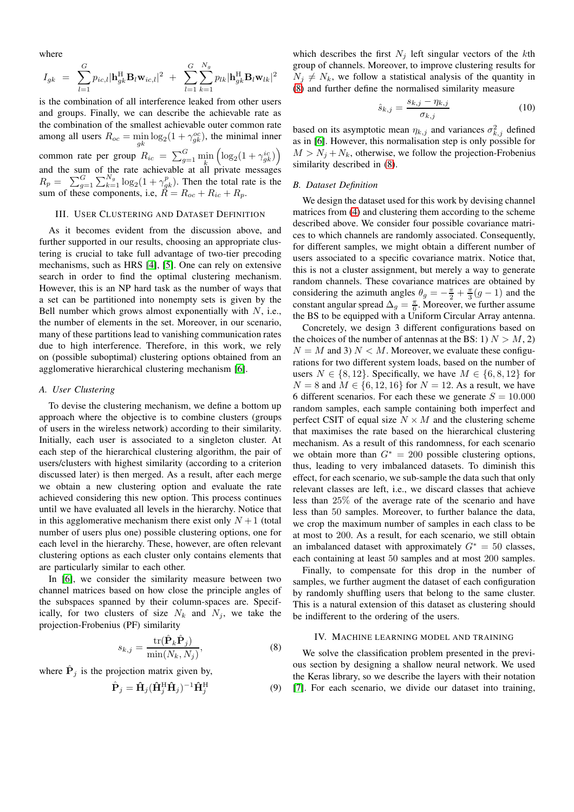where

$$
I_{gk} = \sum_{l=1}^{G} p_{ic,l} |\mathbf{h}_{gk}^{\mathrm{H}} \mathbf{B}_{l} \mathbf{w}_{ic,l}|^2 + \sum_{l=1}^{G} \sum_{k=1}^{N_g} p_{lk} |\mathbf{h}_{gk}^{\mathrm{H}} \mathbf{B}_{l} \mathbf{w}_{lk}|^2
$$

is the combination of all interference leaked from other users and groups. Finally, we can describe the achievable rate as the combination of the smallest achievable outer common rate among all users  $R_{oc} = \min_{gk} \log_2(1 + \gamma_{gk}^{oc})$ , the minimal inner common rate per group  $R_{ic} = \sum_{g=1}^{G} \min_{k} \left( \log_2(1 + \gamma^{ic}_{gk}) \right)$ and the sum of the rate achievable at all private messages  $R_p = \sum_{g=1}^{G} \sum_{k=1}^{N_g} \log_2(1 + \gamma_{gk}^p)$ . Then the total rate is the sum of these components, i.e,  $\overline{R} = R_{oc} + R_{ic} + R_p$ .

## <span id="page-2-1"></span>III. USER CLUSTERING AND DATASET DEFINITION

As it becomes evident from the discussion above, and further supported in our results, choosing an appropriate clustering is crucial to take full advantage of two-tier precoding mechanisms, such as HRS [\[4\]](#page-4-3), [\[5\]](#page-4-4). One can rely on extensive search in order to find the optimal clustering mechanism. However, this is an NP hard task as the number of ways that a set can be partitioned into nonempty sets is given by the Bell number which grows almost exponentially with  $N$ , i.e., the number of elements in the set. Moreover, in our scenario, many of these partitions lead to vanishing communication rates due to high interference. Therefore, in this work, we rely on (possible suboptimal) clustering options obtained from an agglomerative hierarchical clustering mechanism [\[6\]](#page-4-5).

# *A. User Clustering*

To devise the clustering mechanism, we define a bottom up approach where the objective is to combine clusters (groups of users in the wireless network) according to their similarity. Initially, each user is associated to a singleton cluster. At each step of the hierarchical clustering algorithm, the pair of users/clusters with highest similarity (according to a criterion discussed later) is then merged. As a result, after each merge we obtain a new clustering option and evaluate the rate achieved considering this new option. This process continues until we have evaluated all levels in the hierarchy. Notice that in this agglomerative mechanism there exist only  $N+1$  (total number of users plus one) possible clustering options, one for each level in the hierarchy. These, however, are often relevant clustering options as each cluster only contains elements that are particularly similar to each other.

In [\[6\]](#page-4-5), we consider the similarity measure between two channel matrices based on how close the principle angles of the subspaces spanned by their column-spaces are. Specifically, for two clusters of size  $N_k$  and  $N_j$ , we take the projection-Frobenius (PF) similarity

<span id="page-2-0"></span>
$$
s_{k,j} = \frac{\text{tr}(\hat{\mathbf{P}}_k \hat{\mathbf{P}}_j)}{\min(N_k, N_j)},
$$
(8)

where  $\hat{P}_j$  is the projection matrix given by,

$$
\hat{\mathbf{P}}_j = \hat{\mathbf{H}}_j (\hat{\mathbf{H}}_j^{\mathrm{H}} \hat{\mathbf{H}}_j)^{-1} \hat{\mathbf{H}}_j^{\mathrm{H}} \tag{9}
$$

which describes the first  $N_j$  left singular vectors of the kth group of channels. Moreover, to improve clustering results for  $N_i \neq N_k$ , we follow a statistical analysis of the quantity in [\(8\)](#page-2-0) and further define the normalised similarity measure

$$
\hat{s}_{k,j} = \frac{s_{k,j} - \eta_{k,j}}{\sigma_{k,j}}\tag{10}
$$

based on its asymptotic mean  $\eta_{k,j}$  and variances  $\sigma_{k,j}^2$  defined as in [\[6\]](#page-4-5). However, this normalisation step is only possible for  $M > N_i + N_k$ , otherwise, we follow the projection-Frobenius similarity described in [\(8\)](#page-2-0).

# *B. Dataset Definition*

We design the dataset used for this work by devising channel matrices from [\(4\)](#page-1-2) and clustering them according to the scheme described above. We consider four possible covariance matrices to which channels are randomly associated. Consequently, for different samples, we might obtain a different number of users associated to a specific covariance matrix. Notice that, this is not a cluster assignment, but merely a way to generate random channels. These covariance matrices are obtained by considering the azimuth angles  $\theta_g = -\frac{\pi}{2} + \frac{\pi}{3}(g-1)$  and the constant angular spread  $\Delta_g = \frac{\pi}{6}$ . Moreover, we further assume the BS to be equipped with a Uniform Circular Array antenna.

Concretely, we design 3 different configurations based on the choices of the number of antennas at the BS: 1)  $N > M$ , 2)  $N = M$  and 3)  $N < M$ . Moreover, we evaluate these configurations for two different system loads, based on the number of users  $N \in \{8, 12\}$ . Specifically, we have  $M \in \{6, 8, 12\}$  for  $N = 8$  and  $M \in \{6, 12, 16\}$  for  $N = 12$ . As a result, we have 6 different scenarios. For each these we generate  $S = 10.000$ random samples, each sample containing both imperfect and perfect CSIT of equal size  $N \times M$  and the clustering scheme that maximises the rate based on the hierarchical clustering mechanism. As a result of this randomness, for each scenario we obtain more than  $G^* = 200$  possible clustering options, thus, leading to very imbalanced datasets. To diminish this effect, for each scenario, we sub-sample the data such that only relevant classes are left, i.e., we discard classes that achieve less than 25% of the average rate of the scenario and have less than 50 samples. Moreover, to further balance the data, we crop the maximum number of samples in each class to be at most to 200. As a result, for each scenario, we still obtain an imbalanced dataset with approximately  $G^* = 50$  classes, each containing at least 50 samples and at most 200 samples.

Finally, to compensate for this drop in the number of samples, we further augment the dataset of each configuration by randomly shuffling users that belong to the same cluster. This is a natural extension of this dataset as clustering should be indifferent to the ordering of the users.

# IV. MACHINE LEARNING MODEL AND TRAINING

We solve the classification problem presented in the previous section by designing a shallow neural network. We used the Keras library, so we describe the layers with their notation [\[7\]](#page-4-6). For each scenario, we divide our dataset into training,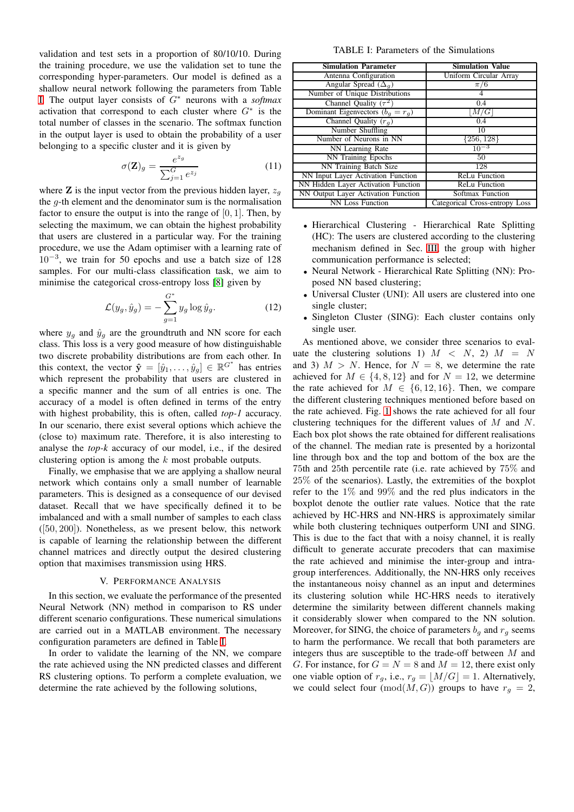validation and test sets in a proportion of 80/10/10. During the training procedure, we use the validation set to tune the corresponding hyper-parameters. Our model is defined as a shallow neural network following the parameters from Table [I.](#page-3-0) The output layer consists of G<sup>∗</sup> neurons with a *softmax* activation that correspond to each cluster where  $G^*$  is the total number of classes in the scenario. The softmax function in the output layer is used to obtain the probability of a user belonging to a specific cluster and it is given by

$$
\sigma(\mathbf{Z})_g = \frac{e^{z_g}}{\sum_{j=1}^G e^{z_j}}\tag{11}
$$

where **Z** is the input vector from the previous hidden layer,  $z_q$ the g-th element and the denominator sum is the normalisation factor to ensure the output is into the range of  $[0, 1]$ . Then, by selecting the maximum, we can obtain the highest probability that users are clustered in a particular way. For the training procedure, we use the Adam optimiser with a learning rate of 10−<sup>3</sup> , we train for 50 epochs and use a batch size of 128 samples. For our multi-class classification task, we aim to minimise the categorical cross-entropy loss [\[8\]](#page-4-7) given by

$$
\mathcal{L}(y_g, \hat{y}_g) = -\sum_{g=1}^{G^*} y_g \log \hat{y}_g.
$$
\n(12)

where  $y_g$  and  $\hat{y}_g$  are the groundtruth and NN score for each class. This loss is a very good measure of how distinguishable two discrete probability distributions are from each other. In this context, the vector  $\hat{\mathbf{y}} = [\hat{y}_1, \dots, \hat{y}_g] \in \mathbb{R}^{G^*}$  has entries which represent the probability that users are clustered in a specific manner and the sum of all entries is one. The accuracy of a model is often defined in terms of the entry with highest probability, this is often, called *top-1* accuracy. In our scenario, there exist several options which achieve the (close to) maximum rate. Therefore, it is also interesting to analyse the *top-k* accuracy of our model, i.e., if the desired clustering option is among the k most probable outputs.

Finally, we emphasise that we are applying a shallow neural network which contains only a small number of learnable parameters. This is designed as a consequence of our devised dataset. Recall that we have specifically defined it to be imbalanced and with a small number of samples to each class  $([50, 200])$ . Nonetheless, as we present below, this network is capable of learning the relationship between the different channel matrices and directly output the desired clustering option that maximises transmission using HRS.

## V. PERFORMANCE ANALYSIS

In this section, we evaluate the performance of the presented Neural Network (NN) method in comparison to RS under different scenario configurations. These numerical simulations are carried out in a MATLAB environment. The necessary configuration parameters are defined in Table [I.](#page-3-0)

In order to validate the learning of the NN, we compare the rate achieved using the NN predicted classes and different RS clustering options. To perform a complete evaluation, we determine the rate achieved by the following solutions,

TABLE I: Parameters of the Simulations

<span id="page-3-0"></span>

| <b>Simulation Parameter</b>         | <b>Simulation Value</b>        |  |  |
|-------------------------------------|--------------------------------|--|--|
| Antenna Configuration               | Uniform Circular Array         |  |  |
| Angular Spread $(\Delta_q)$         | $\pi/6$                        |  |  |
| Number of Unique Distributions      |                                |  |  |
| Channel Quality $(\tau^2)$          | 0.4                            |  |  |
| Dominant Eigenvectors $(b_q = r_q)$ | M/G                            |  |  |
| Channel Quality $(r_a)$             | 0.4                            |  |  |
| Number Shuffling                    | 10                             |  |  |
| Number of Neurons in NN             | $\{256, 128\}$                 |  |  |
| NN Learning Rate                    | $10^{-3}$                      |  |  |
| NN Training Epochs                  | 50                             |  |  |
| NN Training Batch Size              | 128                            |  |  |
| NN Input Layer Activation Function  | <b>ReLu Function</b>           |  |  |
| NN Hidden Layer Activation Function | <b>ReLu Function</b>           |  |  |
| NN Output Layer Activation Function | Softmax Function               |  |  |
| <b>NN Loss Function</b>             | Categorical Cross-entropy Loss |  |  |

- Hierarchical Clustering Hierarchical Rate Splitting (HC): The users are clustered according to the clustering mechanism defined in Sec. [III,](#page-2-1) the group with higher communication performance is selected;
- Neural Network Hierarchical Rate Splitting (NN): Proposed NN based clustering;
- Universal Cluster (UNI): All users are clustered into one single cluster;
- Singleton Cluster (SING): Each cluster contains only single user.

As mentioned above, we consider three scenarios to evaluate the clustering solutions 1)  $M \le N$ , 2)  $M = N$ and 3)  $M > N$ . Hence, for  $N = 8$ , we determine the rate achieved for  $M \in \{4, 8, 12\}$  and for  $N = 12$ , we determine the rate achieved for  $M \in \{6, 12, 16\}$ . Then, we compare the different clustering techniques mentioned before based on the rate achieved. Fig. [1](#page-4-8) shows the rate achieved for all four clustering techniques for the different values of M and N. Each box plot shows the rate obtained for different realisations of the channel. The median rate is presented by a horizontal line through box and the top and bottom of the box are the 75th and 25th percentile rate (i.e. rate achieved by 75% and 25% of the scenarios). Lastly, the extremities of the boxplot refer to the 1% and 99% and the red plus indicators in the boxplot denote the outlier rate values. Notice that the rate achieved by HC-HRS and NN-HRS is approximately similar while both clustering techniques outperform UNI and SING. This is due to the fact that with a noisy channel, it is really difficult to generate accurate precoders that can maximise the rate achieved and minimise the inter-group and intragroup interferences. Additionally, the NN-HRS only receives the instantaneous noisy channel as an input and determines its clustering solution while HC-HRS needs to iteratively determine the similarity between different channels making it considerably slower when compared to the NN solution. Moreover, for SING, the choice of parameters  $b<sub>a</sub>$  and  $r<sub>a</sub>$  seems to harm the performance. We recall that both parameters are integers thus are susceptible to the trade-off between M and G. For instance, for  $G = N = 8$  and  $M = 12$ , there exist only one viable option of  $r_g$ , i.e.,  $r_g = \lfloor M/G \rfloor = 1$ . Alternatively, we could select four  $(\text{mod}(M, G))$  groups to have  $r_g = 2$ ,